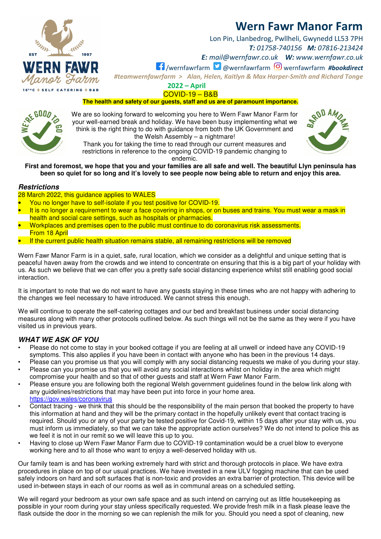

Lon Pin, Llanbedrog, Pwllheli, Gwynedd LL53 7PH *T: 01758-740156 M: 07816-213424* 

*E: mail@wernfawr.co.uk W: www.wernfawr.co.uk* 

/wernfawrfarm @wernfawrfarm wernfawrfarm *#bookdirect*

*#teamwernfawrfarm > Alan, Helen, Kaitlyn & Max Harper-Smith and Richard Tonge* 

**2022 – April**  COVID-19 – B&B

**The health and safety of our guests, staff and us are of paramount importance.** 

We are so looking forward to welcoming you here to Wern Fawr Manor Farm for your well-earned break and holiday. We have been busy implementing what we think is the right thing to do with guidance from both the UK Government and the Welsh Assembly – a nightmare!

Thank you for taking the time to read through our current measures and restrictions in reference to the ongoing COVID-19 pandemic changing to endemic.

**First and foremost, we hope that you and your families are all safe and well. The beautiful Llyn peninsula has been so quiet for so long and it's lovely to see people now being able to return and enjoy this area.** 

### **Restrictions**

28 March 2022, this guidance applies to WALES

- You no longer have to self-isolate if you test positive for COVID-19.
- It is no longer a requirement to wear a face covering in shops, or on buses and trains. You must wear a mask in health and social care settings, such as hospitals or pharmacies.
- Workplaces and premises open to the public must continue to do coronavirus risk assessments. From 18 April
- If the current public health situation remains stable, all remaining restrictions will be removed

Wern Fawr Manor Farm is in a quiet, safe, rural location, which we consider as a delightful and unique setting that is peaceful haven away from the crowds and we intend to concentrate on ensuring that this is a big part of your holiday with us. As such we believe that we can offer you a pretty safe social distancing experience whilst still enabling good social interaction.

It is important to note that we do not want to have any guests staying in these times who are not happy with adhering to the changes we feel necessary to have introduced. We cannot stress this enough.

We will continue to operate the self-catering cottages and our bed and breakfast business under social distancing measures along with many other protocols outlined below. As such things will not be the same as they were if you have visited us in previous years.

### **WHAT WE ASK OF YOU**

- Please do not come to stay in your booked cottage if you are feeling at all unwell or indeed have any COVID-19 symptoms. This also applies if you have been in contact with anyone who has been in the previous 14 days.
- Please can you promise us that you will comply with any social distancing requests we make of you during your stay.
- Please can you promise us that you will avoid any social interactions whilst on holiday in the area which might compromise your health and so that of other guests and staff at Wern Fawr Manor Farm.
- Please ensure you are following both the regional Welsh government guidelines found in the below link along with any guidelines/restrictions that may have been put into force in your home area. https://gov.wales/coronavirus
- Contact tracing we think that this should be the responsibility of the main person that booked the property to have this information at hand and they will be the primary contact in the hopefully unlikely event that contact tracing is required. Should you or any of your party be tested positive for Covid-19, within 15 days after your stay with us, you must inform us immediately, so that we can take the appropriate action ourselves? We do not intend to police this as we feel it is not in our remit so we will leave this up to you.
- Having to close up Wern Fawr Manor Farm due to COVID-19 contamination would be a cruel blow to everyone working here and to all those who want to enjoy a well-deserved holiday with us.

Our family team is and has been working extremely hard with strict and thorough protocols in place. We have extra procedures in place on top of our usual practices. We have invested in a new ULV fogging machine that can be used safely indoors on hard and soft surfaces that is non-toxic and provides an extra barrier of protection. This device will be used in-between stays in each of our rooms as well as in communal areas on a scheduled setting.

We will regard your bedroom as your own safe space and as such intend on carrying out as little housekeeping as possible in your room during your stay unless specifically requested. We provide fresh milk in a flask please leave the flask outside the door in the morning so we can replenish the milk for you. Should you need a spot of cleaning, new







**16THC & SELF CATERING &**